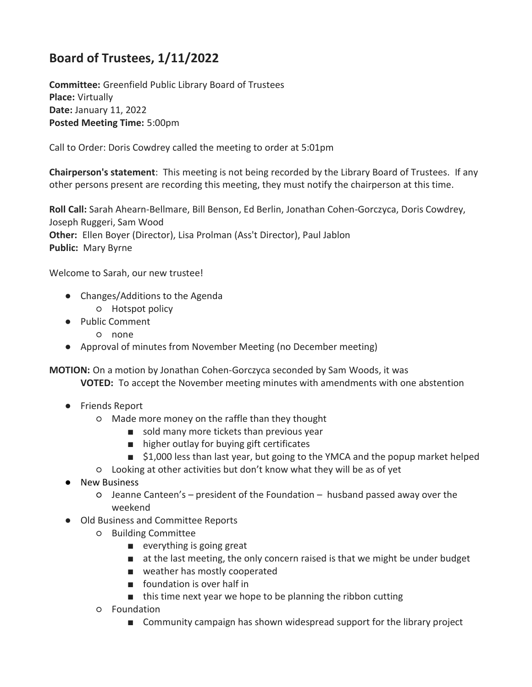## **Board of Trustees, 1/11/2022**

**Committee:** Greenfield Public Library Board of Trustees **Place:** Virtually **Date:** January 11, 2022 **Posted Meeting Time:** 5:00pm

Call to Order: Doris Cowdrey called the meeting to order at 5:01pm

**Chairperson's statement**: This meeting is not being recorded by the Library Board of Trustees. If any other persons present are recording this meeting, they must notify the chairperson at this time.

**Roll Call:** Sarah Ahearn-Bellmare, Bill Benson, Ed Berlin, Jonathan Cohen-Gorczyca, Doris Cowdrey, Joseph Ruggeri, Sam Wood **Other:** Ellen Boyer (Director), Lisa Prolman (Ass't Director), Paul Jablon **Public:** Mary Byrne

Welcome to Sarah, our new trustee!

- Changes/Additions to the Agenda
	- Hotspot policy
- Public Comment
	- none
- Approval of minutes from November Meeting (no December meeting)

**MOTION:** On a motion by Jonathan Cohen-Gorczyca seconded by Sam Woods, it was **VOTED:** To accept the November meeting minutes with amendments with one abstention

- Friends Report
	- Made more money on the raffle than they thought
		- sold many more tickets than previous year
		- higher outlay for buying gift certificates
		- \$1,000 less than last year, but going to the YMCA and the popup market helped
	- Looking at other activities but don't know what they will be as of yet
- New Business
	- Jeanne Canteen's president of the Foundation husband passed away over the weekend
- Old Business and Committee Reports
	- Building Committee
		- everything is going great
		- at the last meeting, the only concern raised is that we might be under budget
		- weather has mostly cooperated
		- foundation is over half in
		- this time next year we hope to be planning the ribbon cutting
	- Foundation
		- Community campaign has shown widespread support for the library project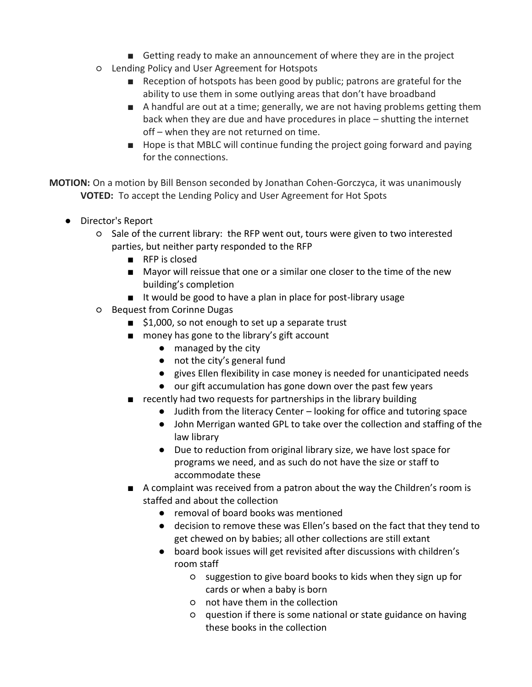- Getting ready to make an announcement of where they are in the project
- Lending Policy and User Agreement for Hotspots
	- Reception of hotspots has been good by public; patrons are grateful for the ability to use them in some outlying areas that don't have broadband
	- A handful are out at a time; generally, we are not having problems getting them back when they are due and have procedures in place – shutting the internet off – when they are not returned on time.
	- Hope is that MBLC will continue funding the project going forward and paying for the connections.

**MOTION:** On a motion by Bill Benson seconded by Jonathan Cohen-Gorczyca, it was unanimously **VOTED:** To accept the Lending Policy and User Agreement for Hot Spots

- Director's Report
	- Sale of the current library: the RFP went out, tours were given to two interested parties, but neither party responded to the RFP
		- RFP is closed
		- Mayor will reissue that one or a similar one closer to the time of the new building's completion
		- It would be good to have a plan in place for post-library usage
	- Bequest from Corinne Dugas
		- \$1,000, so not enough to set up a separate trust
		- money has gone to the library's gift account
			- managed by the city
			- not the city's general fund
			- gives Ellen flexibility in case money is needed for unanticipated needs
			- our gift accumulation has gone down over the past few years
		- recently had two requests for partnerships in the library building
			- Judith from the literacy Center looking for office and tutoring space
			- John Merrigan wanted GPL to take over the collection and staffing of the law library
			- Due to reduction from original library size, we have lost space for programs we need, and as such do not have the size or staff to accommodate these
		- A complaint was received from a patron about the way the Children's room is staffed and about the collection
			- removal of board books was mentioned
			- decision to remove these was Ellen's based on the fact that they tend to get chewed on by babies; all other collections are still extant
			- board book issues will get revisited after discussions with children's room staff
				- suggestion to give board books to kids when they sign up for cards or when a baby is born
				- not have them in the collection
				- question if there is some national or state guidance on having these books in the collection